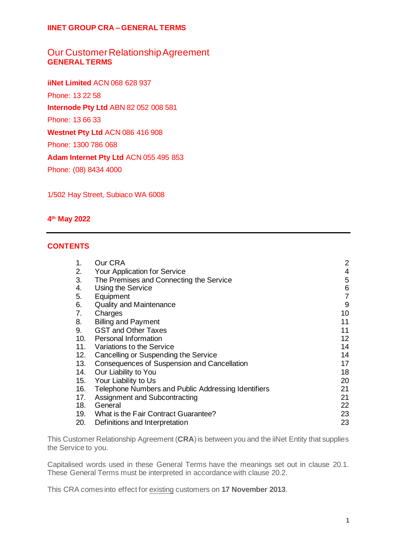# Our Customer Relationship Agreement **GENERAL TERMS**

**iiNet Limited** ACN 068 628 937 Phone: 13 22 58 **Internode Pty Ltd** ABN 82 052 008 581 Phone: 13 66 33 **Westnet Pty Ltd** ACN 086 416 908 Phone: 1300 786 068 **Adam Internet Pty Ltd** ACN 055 495 853 Phone: (08) 8434 4000

1/502 Hay Street, Subiaco WA 6008

## **4 th May 2022**

## **CONTENTS**

| 1.  | Our CRA                                             | $\overline{2}$ |
|-----|-----------------------------------------------------|----------------|
| 2.  | Your Application for Service                        | $\overline{4}$ |
| 3.  | The Premises and Connecting the Service             | 5              |
| 4.  | Using the Service                                   | 6              |
| 5.  | Equipment                                           | $\overline{7}$ |
| 6.  | <b>Quality and Maintenance</b>                      | 9              |
| 7.  | Charges                                             | 10             |
| 8.  | <b>Billing and Payment</b>                          | 11             |
| 9.  | <b>GST and Other Taxes</b>                          | 11             |
| 10. | <b>Personal Information</b>                         | 12             |
| 11. | Variations to the Service                           | 14             |
| 12. | Cancelling or Suspending the Service                | 14             |
| 13. | Consequences of Suspension and Cancellation         | 17             |
| 14. | Our Liability to You                                | 18             |
| 15. | Your Liability to Us                                | 20             |
| 16. | Telephone Numbers and Public Addressing Identifiers | 21             |
| 17. | Assignment and Subcontracting                       | 21             |
| 18. | General                                             | 22             |
| 19. | What is the Fair Contract Guarantee?                | 23             |
| 20. | Definitions and Interpretation                      | 23             |

This Customer Relationship Agreement (**CRA**) is between you and the iiNet Entity that supplies the Service to you.

Capitalised words used in these General Terms have the meanings set out in clause [20.1.](#page-22-2) These General Terms must be interpreted in accordance with clause [20.2.](#page-28-0)

This CRA comes into effect for existing customers on **17 November 2013**.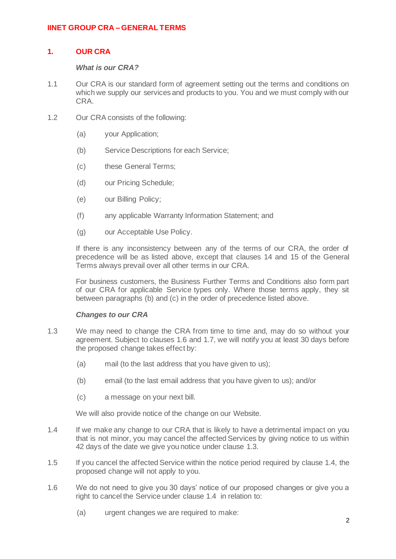## <span id="page-1-0"></span>**1. OUR CRA**

### *What is our CRA?*

- 1.1 Our CRA is our standard form of agreement setting out the terms and conditions on which we supply our services and products to you. You and we must comply with our CRA.
- <span id="page-1-2"></span><span id="page-1-1"></span>1.2 Our CRA consists of the following:
	- (a) your Application;
	- (b) Service Descriptions for each Service;
	- (c) these General Terms;
	- (d) our Pricing Schedule;
	- (e) our Billing Policy;
	- (f) any applicable Warranty Information Statement; and
	- (g) our Acceptable Use Policy.

If there is any inconsistency between any of the terms of our CRA, the order of precedence will be as listed above, except that clauses [14](#page-17-0) and [15](#page-19-0) of the General Terms always prevail over all other terms in our CRA.

For business customers, the Business Further Terms and Conditions also form part of our CRA for applicable Service types only. Where those terms apply, they sit between paragraphs [\(b\)](#page-1-1) an[d \(c\)](#page-1-2) in the order of precedence listed above.

### <span id="page-1-7"></span>*Changes to our CRA*

- <span id="page-1-4"></span>1.3 We may need to change the CRA from time to time and, may do so without your agreement. Subject to clauses [1.6](#page-1-3) and [1.7,](#page-2-0) we will notify you at least 30 days before the proposed change takes effect by:
	- (a) mail (to the last address that you have given to us);
	- (b) email (to the last email address that you have given to us); and/or
	- (c) a message on your next bill.

We will also provide notice of the change on our Website.

- <span id="page-1-5"></span>1.4 If we make any change to our CRA that is likely to have a detrimental impact on you that is not minor, you may cancel the affected Services by giving notice to us within 42 days of the date we give you notice under claus[e 1.3.](#page-1-4)
- <span id="page-1-6"></span>1.5 If you cancel the affected Service within the notice period required by claus[e 1.4,](#page-1-5) the proposed change will not apply to you.
- <span id="page-1-3"></span>1.6 We do not need to give you 30 days' notice of our proposed changes or give you a right to cancel the Service under claus[e 1.4](#page-1-5) in relation to:
	- (a) urgent changes we are required to make: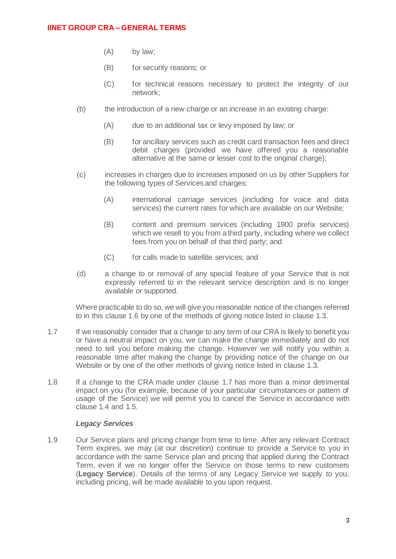- (A) by law;
- (B) for security reasons; or
- (C) for technical reasons necessary to protect the integrity of our network;
- (b) the introduction of a new charge or an increase in an existing charge:
	- (A) due to an additional tax or levy imposed by law; or
	- (B) for ancillary services such as credit card transaction fees and direct debit charges (provided we have offered you a reasonable alternative at the same or lesser cost to the original charge);
- (c) increases in charges due to increases imposed on us by other Suppliers for the following types of Services and charges:
	- (A) international carriage services (including for voice and data services) the current rates for which are available on our Website;
	- (B) content and premium services (including 1900 prefix services) which we resell to you from a third party, including where we collect fees from you on behalf of that third party; and
	- (C) for calls made to satellite services; and
- (d) a change to or removal of any special feature of your Service that is not expressly referred to in the relevant service description and is no longer available or supported.

Where practicable to do so, we will give you reasonable notice of the changes referred to in this claus[e 1.6](#page-1-3) by one of the methods of giving notice listed in claus[e 1.3.](#page-1-4)

- <span id="page-2-0"></span>1.7 If we reasonably consider that a change to any term of our CRA is likely to benefit you or have a neutral impact on you, we can make the change immediately and do not need to tell you before making the change. However we will notify you within a reasonable time after making the change by providing notice of the change on our Website or by one of the other methods of giving notice listed in clause [1.3.](#page-1-4)
- <span id="page-2-1"></span>1.8 If a change to the CRA made under clause [1.7](#page-2-0) has more than a minor detrimental impact on you (for example, because of your particular circumstances or pattern of usage of the Service) we will permit you to cancel the Service in accordance with clause [1.4](#page-1-5) and [1.5.](#page-1-6)

### *Legacy Services*

1.9 Our Service plans and pricing change from time to time. After any relevant Contract Term expires, we may (at our discretion) continue to provide a Service to you in accordance with the same Service plan and pricing that applied during the Contract Term, even if we no longer offer the Service on those terms to new customers (**Legacy Service**). Details of the terms of any Legacy Service we supply to you, including pricing, will be made available to you upon request.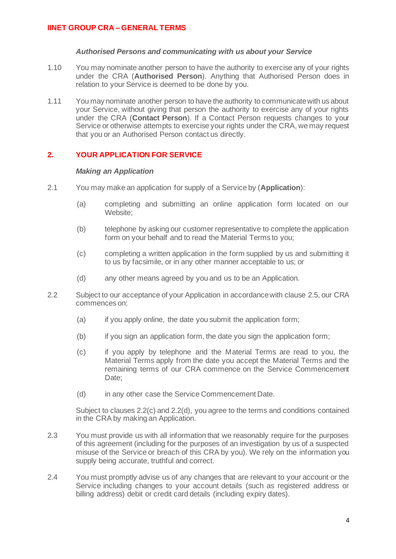### *Authorised Persons and communicating with us about your Service*

- <span id="page-3-4"></span>1.10 You may nominate another person to have the authority to exercise any of your rights under the CRA (**Authorised Person**). Anything that Authorised Person does in relation to your Service is deemed to be done by you.
- <span id="page-3-5"></span>1.11 You may nominate another person to have the authority to communicate with us about your Service, without giving that person the authority to exercise any of your rights under the CRA (**Contact Person**). If a Contact Person requests changes to your Service or otherwise attempts to exercise your rights under the CRA, we may request that you or an Authorised Person contact us directly.

## <span id="page-3-0"></span>**2. YOUR APPLICATION FOR SERVICE**

### *Making an Application*

- <span id="page-3-3"></span>2.1 You may make an application for supply of a Service by (**Application**):
	- (a) completing and submitting an online application form located on our Website;
	- (b) telephone by asking our customer representative to complete the application form on your behalf and to read the Material Terms to you;
	- (c) completing a written application in the form supplied by us and submitting it to us by facsimile, or in any other manner acceptable to us; or
	- (d) any other means agreed by you and us to be an Application.
- <span id="page-3-1"></span>2.2 Subject to our acceptance of your Application in accordance with claus[e 2.5,](#page-4-1) our CRA commences on:
	- (a) if you apply online, the date you submit the application form;
	- (b) if you sign an application form, the date you sign the application form;
	- (c) if you apply by telephone and the Material Terms are read to you, the Material Terms apply from the date you accept the Material Terms and the remaining terms of our CRA commence on the Service Commencement Date;
	- (d) in any other case the Service Commencement Date.

<span id="page-3-2"></span>Subject to clauses [2.2\(c\)](#page-3-1) and [2.2\(d\),](#page-3-2) you agree to the terms and conditions contained in the CRA by making an Application.

- 2.3 You must provide us with all information that we reasonably require for the purposes of this agreement (including for the purposes of an investigation by us of a suspected misuse of the Service or breach of this CRA by you). We rely on the information you supply being accurate, truthful and correct.
- 2.4 You must promptly advise us of any changes that are relevant to your account or the Service including changes to your account details (such as registered address or billing address) debit or credit card details (including expiry dates).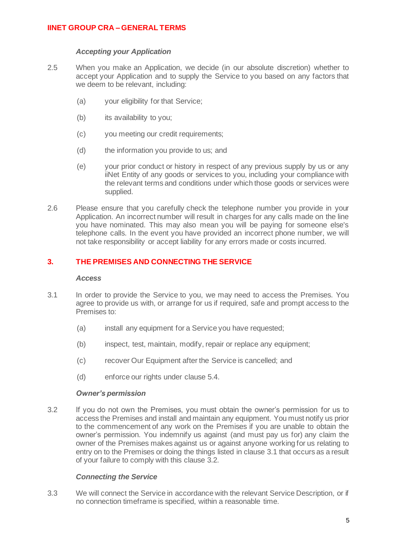### *Accepting your Application*

- <span id="page-4-1"></span>2.5 When you make an Application, we decide (in our absolute discretion) whether to accept your Application and to supply the Service to you based on any factors that we deem to be relevant, including:
	- (a) your eligibility for that Service;
	- (b) its availability to you;
	- (c) you meeting our credit requirements;
	- (d) the information you provide to us; and
	- (e) your prior conduct or history in respect of any previous supply by us or any iiNet Entity of any goods or services to you, including your compliance with the relevant terms and conditions under which those goods or services were supplied.
- 2.6 Please ensure that you carefully check the telephone number you provide in your Application. An incorrect number will result in charges for any calls made on the line you have nominated. This may also mean you will be paying for someone else's telephone calls. In the event you have provided an incorrect phone number, we will not take responsibility or accept liability for any errors made or costs incurred.

## <span id="page-4-0"></span>**3. THE PREMISES AND CONNECTING THE SERVICE**

### *Access*

- <span id="page-4-2"></span>3.1 In order to provide the Service to you, we may need to access the Premises. You agree to provide us with, or arrange for us if required, safe and prompt access to the Premises to:
	- (a) install any equipment for a Service you have requested;
	- (b) inspect, test, maintain, modify, repair or replace any equipment;
	- (c) recover Our Equipment after the Service is cancelled; and
	- (d) enforce our rights under clause [5.4.](#page-7-0)

### *Owner's permission*

<span id="page-4-3"></span>3.2 If you do not own the Premises, you must obtain the owner's permission for us to access the Premises and install and maintain any equipment. You must notify us prior to the commencement of any work on the Premises if you are unable to obtain the owner's permission. You indemnify us against (and must pay us for) any claim the owner of the Premises makes against us or against anyone working for us relating to entry on to the Premises or doing the things listed in claus[e 3.1](#page-4-2) that occurs as a result of your failure to comply with this clause [3.2.](#page-4-3)

## *Connecting the Service*

3.3 We will connect the Service in accordance with the relevant Service Description, or if no connection timeframe is specified, within a reasonable time.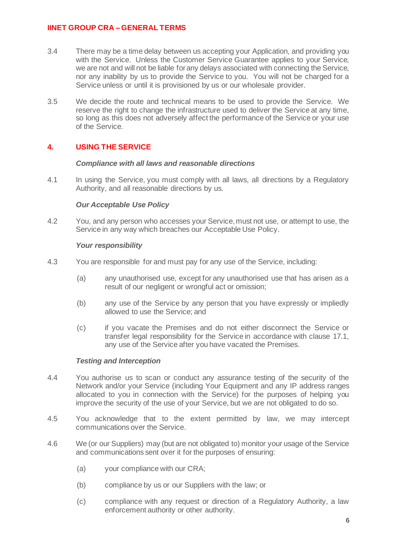- 3.4 There may be a time delay between us accepting your Application, and providing you with the Service. Unless the Customer Service Guarantee applies to your Service, we are not and will not be liable for any delays associated with connecting the Service, nor any inability by us to provide the Service to you. You will not be charged for a Service unless or until it is provisioned by us or our wholesale provider.
- 3.5 We decide the route and technical means to be used to provide the Service. We reserve the right to change the infrastructure used to deliver the Service at any time, so long as this does not adversely affect the performance of the Service or your use of the Service.

# <span id="page-5-0"></span>**4. USING THE SERVICE**

## *Compliance with all laws and reasonable directions*

<span id="page-5-1"></span>4.1 In using the Service, you must comply with all laws, all directions by a Regulatory Authority, and all reasonable directions by us.

## *Our Acceptable Use Policy*

4.2 You, and any person who accesses your Service, must not use, or attempt to use, the Service in any way which breaches our Acceptable Use Policy.

## <span id="page-5-2"></span>*Your responsibility*

- 4.3 You are responsible for and must pay for any use of the Service, including:
	- (a) any unauthorised use, except for any unauthorised use that has arisen as a result of our negligent or wrongful act or omission;
	- (b) any use of the Service by any person that you have expressly or impliedly allowed to use the Service; and
	- (c) if you vacate the Premises and do not either disconnect the Service or transfer legal responsibility for the Service in accordance with clause [17.1,](#page-20-2) any use of the Service after you have vacated the Premises.

## *Testing and Interception*

- 4.4 You authorise us to scan or conduct any assurance testing of the security of the Network and/or your Service (including Your Equipment and any IP address ranges allocated to you in connection with the Service) for the purposes of helping you improve the security of the use of your Service, but we are not obligated to do so.
- 4.5 You acknowledge that to the extent permitted by law, we may intercept communications over the Service.
- 4.6 We (or our Suppliers) may (but are not obligated to) monitor your usage of the Service and communications sent over it for the purposes of ensuring:
	- (a) your compliance with our CRA;
	- (b) compliance by us or our Suppliers with the law; or
	- (c) compliance with any request or direction of a Regulatory Authority, a law enforcement authority or other authority.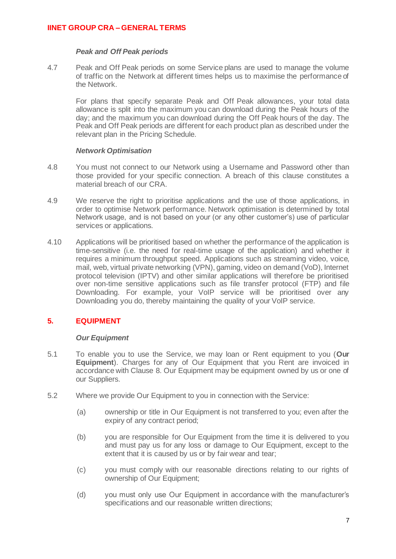### *Peak and Off Peak periods*

4.7 Peak and Off Peak periods on some Service plans are used to manage the volume of traffic on the Network at different times helps us to maximise the performance of the Network.

For plans that specify separate Peak and Off Peak allowances, your total data allowance is split into the maximum you can download during the Peak hours of the day; and the maximum you can download during the Off Peak hours of the day. The Peak and Off Peak periods are different for each product plan as described under the relevant plan in the Pricing Schedule.

## *Network Optimisation*

- <span id="page-6-1"></span>4.8 You must not connect to our Network using a Username and Password other than those provided for your specific connection. A breach of this clause constitutes a material breach of our CRA.
- 4.9 We reserve the right to prioritise applications and the use of those applications, in order to optimise Network performance. Network optimisation is determined by total Network usage, and is not based on your (or any other customer's) use of particular services or applications.
- 4.10 Applications will be prioritised based on whether the performance of the application is time-sensitive (i.e. the need for real-time usage of the application) and whether it requires a minimum throughput speed. Applications such as streaming video, voice, mail, web, virtual private networking (VPN), gaming, video on demand (VoD), Internet protocol television (IPTV) and other similar applications will therefore be prioritised over non-time sensitive applications such as file transfer protocol (FTP) and file Downloading. For example, your VoIP service will be prioritised over any Downloading you do, thereby maintaining the quality of your VoIP service.

# <span id="page-6-0"></span>**5. EQUIPMENT**

## *Our Equipment*

- <span id="page-6-3"></span>5.1 To enable you to use the Service, we may loan or Rent equipment to you (**Our Equipment**). Charges for any of Our Equipment that you Rent are invoiced in accordance with Clause [8.](#page-10-0) Our Equipment may be equipment owned by us or one of our Suppliers.
- <span id="page-6-2"></span>5.2 Where we provide Our Equipment to you in connection with the Service:
	- (a) ownership or title in Our Equipment is not transferred to you; even after the expiry of any contract period;
	- (b) you are responsible for Our Equipment from the time it is delivered to you and must pay us for any loss or damage to Our Equipment, except to the extent that it is caused by us or by fair wear and tear;
	- (c) you must comply with our reasonable directions relating to our rights of ownership of Our Equipment;
	- (d) you must only use Our Equipment in accordance with the manufacturer's specifications and our reasonable written directions;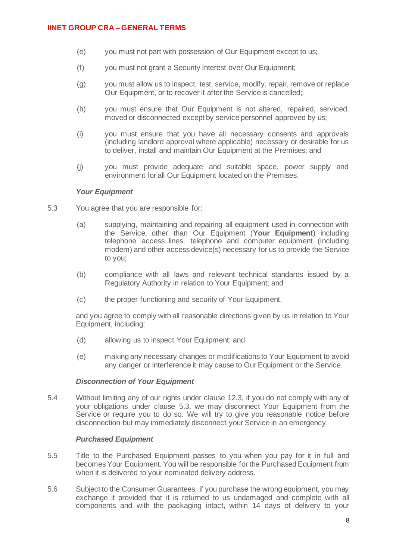- (e) you must not part with possession of Our Equipment except to us;
- (f) you must not grant a Security Interest over Our Equipment;
- (g) you must allow us to inspect, test, service, modify, repair, remove or replace Our Equipment, or to recover it after the Service is cancelled;
- (h) you must ensure that Our Equipment is not altered, repaired, serviced, moved or disconnected except by service personnel approved by us;
- (i) you must ensure that you have all necessary consents and approvals (including landlord approval where applicable) necessary or desirable for us to deliver, install and maintain Our Equipment at the Premises; and
- (j) you must provide adequate and suitable space, power supply and environment for all Our Equipment located on the Premises.

#### *Your Equipment*

- <span id="page-7-1"></span>5.3 You agree that you are responsible for:
	- (a) supplying, maintaining and repairing all equipment used in connection with the Service, other than Our Equipment (**Your Equipment**) including telephone access lines, telephone and computer equipment (including modem) and other access device(s) necessary for us to provide the Service to you;
	- (b) compliance with all laws and relevant technical standards issued by a Regulatory Authority in relation to Your Equipment; and
	- (c) the proper functioning and security of Your Equipment,

and you agree to comply with all reasonable directions given by us in relation to Your Equipment, including:

- (d) allowing us to inspect Your Equipment; and
- (e) making any necessary changes or modifications to Your Equipment to avoid any danger or interference it may cause to Our Equipment or the Service.

### *Disconnection of Your Equipment*

<span id="page-7-0"></span>5.4 Without limiting any of our rights under clause [12.3,](#page-13-2) if you do not comply with any of your obligations under clause [5.3,](#page-7-1) we may disconnect Your Equipment from the Service or require you to do so. We will try to give you reasonable notice before disconnection but may immediately disconnect your Service in an emergency.

### *Purchased Equipment*

- 5.5 Title to the Purchased Equipment passes to you when you pay for it in full and becomes Your Equipment. You will be responsible for the Purchased Equipment from when it is delivered to your nominated delivery address.
- 5.6 Subject to the Consumer Guarantees, if you purchase the wrong equipment, you may exchange it provided that it is returned to us undamaged and complete with all components and with the packaging intact, within 14 days of delivery to your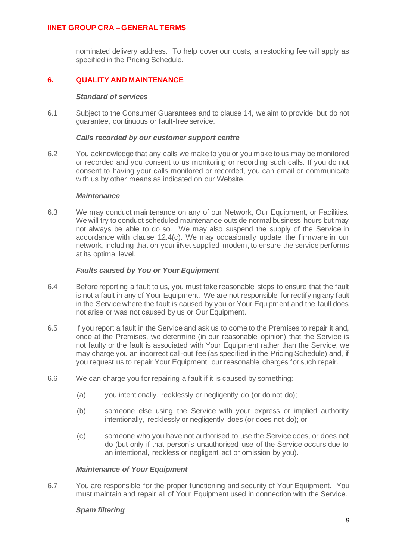nominated delivery address. To help cover our costs, a restocking fee will apply as specified in the Pricing Schedule.

# <span id="page-8-0"></span>**6. QUALITY AND MAINTENANCE**

## *Standard of services*

6.1 Subject to the Consumer Guarantees and to claus[e 14,](#page-17-0) we aim to provide, but do not guarantee, continuous or fault-free service.

## *Calls recorded by our customer support centre*

6.2 You acknowledge that any calls we make to you or you make to us may be monitored or recorded and you consent to us monitoring or recording such calls. If you do not consent to having your calls monitored or recorded, you can email or communicate with us by other means as indicated on our Website.

### *Maintenance*

6.3 We may conduct maintenance on any of our Network, Our Equipment, or Facilities. We will try to conduct scheduled maintenance outside normal business hours but may not always be able to do so. We may also suspend the supply of the Service in accordance with clause [12.4\(c\).](#page-14-0) We may occasionally update the firmware in our network, including that on your iiNet supplied modem, to ensure the service performs at its optimal level.

## *Faults caused by You or Your Equipment*

- 6.4 Before reporting a fault to us, you must take reasonable steps to ensure that the fault is not a fault in any of Your Equipment. We are not responsible for rectifying any fault in the Service where the fault is caused by you or Your Equipment and the fault does not arise or was not caused by us or Our Equipment.
- 6.5 If you report a fault in the Service and ask us to come to the Premises to repair it and, once at the Premises, we determine (in our reasonable opinion) that the Service is not faulty or the fault is associated with Your Equipment rather than the Service, we may charge you an incorrect call-out fee (as specified in the Pricing Schedule) and, if you request us to repair Your Equipment, our reasonable charges for such repair.
- 6.6 We can charge you for repairing a fault if it is caused by something:
	- (a) you intentionally, recklessly or negligently do (or do not do);
	- (b) someone else using the Service with your express or implied authority intentionally, recklessly or negligently does (or does not do); or
	- (c) someone who you have not authorised to use the Service does, or does not do (but only if that person's unauthorised use of the Service occurs due to an intentional, reckless or negligent act or omission by you).

## *Maintenance of Your Equipment*

6.7 You are responsible for the proper functioning and security of Your Equipment. You must maintain and repair all of Your Equipment used in connection with the Service.

## *Spam filtering*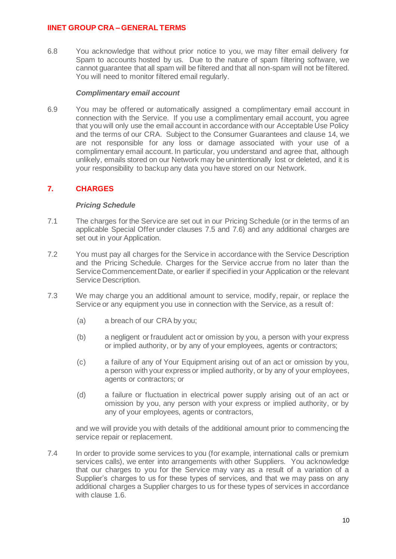6.8 You acknowledge that without prior notice to you, we may filter email delivery for Spam to accounts hosted by us. Due to the nature of spam filtering software, we cannot guarantee that all spam will be filtered and that all non-spam will not be filtered. You will need to monitor filtered email regularly.

### *Complimentary email account*

6.9 You may be offered or automatically assigned a complimentary email account in connection with the Service. If you use a complimentary email account, you agree that you will only use the email account in accordance with our Acceptable Use Policy and the terms of our CRA. Subject to the Consumer Guarantees and clause 14, we are not responsible for any loss or damage associated with your use of a complimentary email account. In particular, you understand and agree that, although unlikely, emails stored on our Network may be unintentionally lost or deleted, and it is your responsibility to backup any data you have stored on our Network.

# <span id="page-9-0"></span>**7. CHARGES**

## *Pricing Schedule*

- 7.1 The charges for the Service are set out in our Pricing Schedule (or in the terms of an applicable Special Offer under clauses [7.5](#page-10-2) and [7.6\)](#page-10-3) and any additional charges are set out in your Application.
- 7.2 You must pay all charges for the Service in accordance with the Service Description and the Pricing Schedule. Charges for the Service accrue from no later than the Service Commencement Date, or earlier if specified in your Application or the relevant Service Description.
- 7.3 We may charge you an additional amount to service, modify, repair, or replace the Service or any equipment you use in connection with the Service, as a result of:
	- (a) a breach of our CRA by you;
	- (b) a negligent or fraudulent act or omission by you, a person with your express or implied authority, or by any of your employees, agents or contractors;
	- (c) a failure of any of Your Equipment arising out of an act or omission by you, a person with your express or implied authority, or by any of your employees, agents or contractors; or
	- (d) a failure or fluctuation in electrical power supply arising out of an act or omission by you, any person with your express or implied authority, or by any of your employees, agents or contractors,

and we will provide you with details of the additional amount prior to commencing the service repair or replacement.

7.4 In order to provide some services to you (for example, international calls or premium services calls), we enter into arrangements with other Suppliers. You acknowledge that our charges to you for the Service may vary as a result of a variation of a Supplier's charges to us for these types of services, and that we may pass on any additional charges a Supplier charges to us for these types of services in accordance with clause [1.6.](#page-1-3)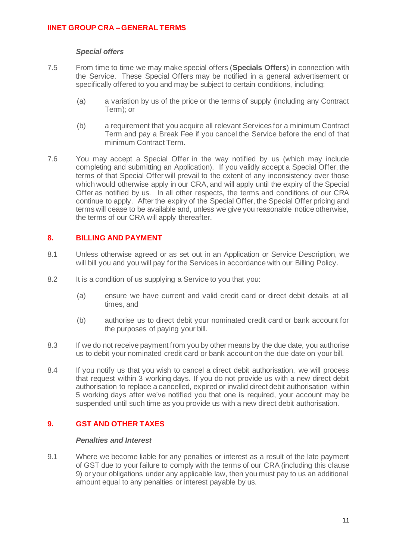### *Special offers*

- <span id="page-10-2"></span>7.5 From time to time we may make special offers (**Specials Offers**) in connection with the Service. These Special Offers may be notified in a general advertisement or specifically offered to you and may be subject to certain conditions, including:
	- (a) a variation by us of the price or the terms of supply (including any Contract Term); or
	- (b) a requirement that you acquire all relevant Services for a minimum Contract Term and pay a Break Fee if you cancel the Service before the end of that minimum Contract Term.
- <span id="page-10-3"></span>7.6 You may accept a Special Offer in the way notified by us (which may include completing and submitting an Application). If you validly accept a Special Offer, the terms of that Special Offer will prevail to the extent of any inconsistency over those which would otherwise apply in our CRA, and will apply until the expiry of the Special Offer as notified by us. In all other respects, the terms and conditions of our CRA continue to apply. After the expiry of the Special Offer, the Special Offer pricing and terms will cease to be available and, unless we give you reasonable notice otherwise, the terms of our CRA will apply thereafter.

## <span id="page-10-0"></span>**8. BILLING AND PAYMENT**

- 8.1 Unless otherwise agreed or as set out in an Application or Service Description, we will bill you and you will pay for the Services in accordance with our Billing Policy.
- 8.2 It is a condition of us supplying a Service to you that you:
	- (a) ensure we have current and valid credit card or direct debit details at all times, and
	- (b) authorise us to direct debit your nominated credit card or bank account for the purposes of paying your bill.
- 8.3 If we do not receive payment from you by other means by the due date, you authorise us to debit your nominated credit card or bank account on the due date on your bill.
- 8.4 If you notify us that you wish to cancel a direct debit authorisation, we will process that request within 3 working days. If you do not provide us with a new direct debit authorisation to replace a cancelled, expired or invalid direct debit authorisation within 5 working days after we've notified you that one is required, your account may be suspended until such time as you provide us with a new direct debit authorisation.

# <span id="page-10-1"></span>**9. GST AND OTHER TAXES**

## *Penalties and Interest*

9.1 Where we become liable for any penalties or interest as a result of the late payment of GST due to your failure to comply with the terms of our CRA (including this clause [9\)](#page-10-1) or your obligations under any applicable law, then you must pay to us an additional amount equal to any penalties or interest payable by us.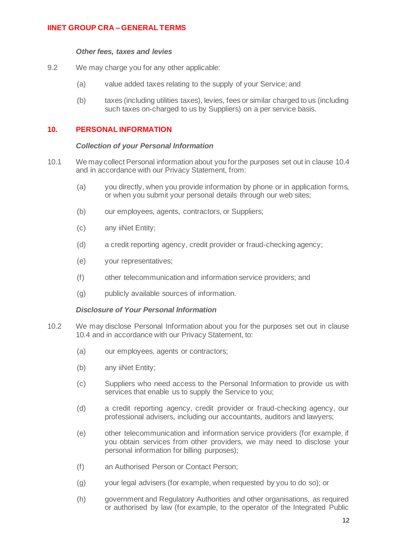### *Other fees, taxes and levies*

- 9.2 We may charge you for any other applicable:
	- (a) value added taxes relating to the supply of your Service; and
	- (b) taxes (including utilities taxes), levies, fees or similar charged to us (including such taxes on-charged to us by Suppliers) on a per service basis.

## <span id="page-11-0"></span>**10. PERSONAL INFORMATION**

### *Collection of your Personal Information*

- 10.1 We may collect Personal information about you for the purposes set out in claus[e 10.4](#page-12-0) and in accordance with our Privacy Statement, from:
	- (a) you directly, when you provide information by phone or in application forms, or when you submit your personal details through our web sites;
	- (b) our employees, agents, contractors, or Suppliers;
	- (c) any iiNet Entity;
	- (d) a credit reporting agency, credit provider or fraud-checking agency;
	- (e) your representatives;
	- (f) other telecommunication and information service providers; and
	- (g) publicly available sources of information.

## *Disclosure of Your Personal Information*

- 10.2 We may disclose Personal Information about you for the purposes set out in clause [10.4](#page-12-0) and in accordance with our Privacy Statement, to:
	- (a) our employees, agents or contractors;
	- (b) any iiNet Entity;
	- (c) Suppliers who need access to the Personal Information to provide us with services that enable us to supply the Service to you;
	- (d) a credit reporting agency, credit provider or fraud-checking agency, our professional advisers, including our accountants, auditors and lawyers;
	- (e) other telecommunication and information service providers (for example, if you obtain services from other providers, we may need to disclose your personal information for billing purposes);
	- (f) an Authorised Person or Contact Person;
	- (g) your legal advisers (for example, when requested by you to do so); or
	- (h) government and Regulatory Authorities and other organisations, as required or authorised by law (for example, to the operator of the Integrated Public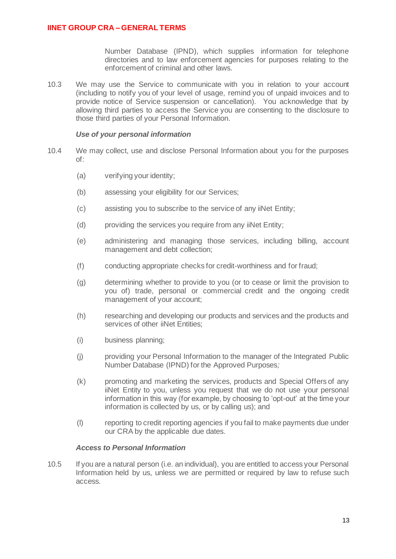Number Database (IPND), which supplies information for telephone directories and to law enforcement agencies for purposes relating to the enforcement of criminal and other laws.

10.3 We may use the Service to communicate with you in relation to your account (including to notify you of your level of usage, remind you of unpaid invoices and to provide notice of Service suspension or cancellation). You acknowledge that by allowing third parties to access the Service you are consenting to the disclosure to those third parties of your Personal Information.

### *Use of your personal information*

- <span id="page-12-0"></span>10.4 We may collect, use and disclose Personal Information about you for the purposes of:
	- (a) verifying your identity;
	- (b) assessing your eligibility for our Services;
	- (c) assisting you to subscribe to the service of any iiNet Entity;
	- (d) providing the services you require from any iiNet Entity;
	- (e) administering and managing those services, including billing, account management and debt collection;
	- (f) conducting appropriate checks for credit-worthiness and for fraud;
	- (g) determining whether to provide to you (or to cease or limit the provision to you of) trade, personal or commercial credit and the ongoing credit management of your account;
	- (h) researching and developing our products and services and the products and services of other *iiNet* Entities:
	- (i) business planning;
	- (j) providing your Personal Information to the manager of the Integrated Public Number Database (IPND) for the Approved Purposes*;*
	- (k) promoting and marketing the services, products and Special Offers of any iiNet Entity to you, unless you request that we do not use your personal information in this way (for example, by choosing to 'opt-out' at the time your information is collected by us, or by calling us); and
	- (l) reporting to credit reporting agencies if you fail to make payments due under our CRA by the applicable due dates.

### *Access to Personal Information*

10.5 If you are a natural person (i.e. an individual), you are entitled to access your Personal Information held by us, unless we are permitted or required by law to refuse such access.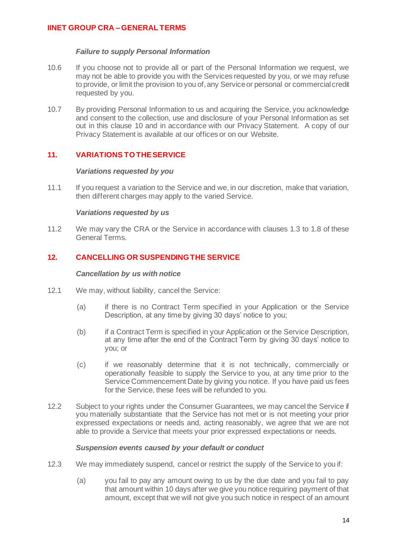## *Failure to supply Personal Information*

- 10.6 If you choose not to provide all or part of the Personal Information we request, we may not be able to provide you with the Services requested by you, or we may refuse to provide, or limit the provision to you of, any Service or personal or commercial credit requested by you.
- 10.7 By providing Personal Information to us and acquiring the Service, you acknowledge and consent to the collection, use and disclosure of your Personal Information as set out in this clause [10](#page-11-0) and in accordance with our Privacy Statement. A copy of our Privacy Statement is available at our offices or on our Website.

## <span id="page-13-0"></span>**11. VARIATIONS TO THE SERVICE**

### *Variations requested by you*

11.1 If you request a variation to the Service and we, in our discretion, make that variation, then different charges may apply to the varied Service.

### *Variations requested by us*

11.2 We may vary the CRA or the Service in accordance with clauses [1.3](#page-1-7) t[o 1.8](#page-2-1) of these General Terms.

## <span id="page-13-1"></span>**12. CANCELLING OR SUSPENDING THE SERVICE**

### *Cancellation by us with notice*

- 12.1 We may, without liability, cancel the Service:
	- (a) if there is no Contract Term specified in your Application or the Service Description, at any time by giving 30 days' notice to you;
	- (b) if a Contract Term is specified in your Application or the Service Description, at any time after the end of the Contract Term by giving 30 days' notice to you; or
	- (c) if we reasonably determine that it is not technically, commercially or operationally feasible to supply the Service to you, at any time prior to the Service Commencement Date by giving you notice. If you have paid us fees for the Service, these fees will be refunded to you.
- <span id="page-13-4"></span><span id="page-13-3"></span>12.2 Subject to your rights under the Consumer Guarantees, we may cancel the Service if you materially substantiate that the Service has not met or is not meeting your prior expressed expectations or needs and, acting reasonably, we agree that we are not able to provide a Service that meets your prior expressed expectations or needs.

### *Suspension events caused by your default or conduct*

- <span id="page-13-2"></span>12.3 We may immediately suspend, cancel or restrict the supply of the Service to you if:
	- (a) you fail to pay any amount owing to us by the due date and you fail to pay that amount within 10 days after we give you notice requiring payment of that amount, except that we will not give you such notice in respect of an amount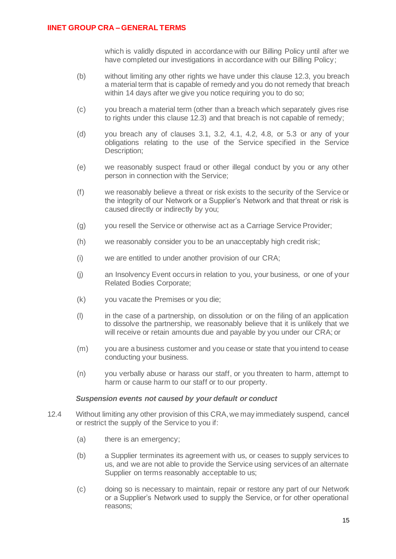which is validly disputed in accordance with our Billing Policy until after we have completed our investigations in accordance with our Billing Policy;

- (b) without limiting any other rights we have under this clause [12.3,](#page-13-2) you breach a material term that is capable of remedy and you do not remedy that breach within 14 days after we give you notice requiring you to do so;
- (c) you breach a material term (other than a breach which separately gives rise to rights under this clause [12.3\)](#page-13-2) and that breach is not capable of remedy;
- (d) you breach any of clauses [3.1,](#page-4-2) [3.2,](#page-4-3) [4.1,](#page-5-1) [4.2,](#page-5-2) [4.8,](#page-6-1) or [5.3](#page-7-1) or any of your obligations relating to the use of the Service specified in the Service Description:
- (e) we reasonably suspect fraud or other illegal conduct by you or any other person in connection with the Service;
- (f) we reasonably believe a threat or risk exists to the security of the Service or the integrity of our Network or a Supplier's Network and that threat or risk is caused directly or indirectly by you;
- (g) you resell the Service or otherwise act as a Carriage Service Provider;
- (h) we reasonably consider you to be an unacceptably high credit risk;
- (i) we are entitled to under another provision of our CRA;
- (j) an Insolvency Event occurs in relation to you, your business, or one of your Related Bodies Corporate;
- (k) you vacate the Premises or you die;
- (l) in the case of a partnership, on dissolution or on the filing of an application to dissolve the partnership, we reasonably believe that it is unlikely that we will receive or retain amounts due and payable by you under our CRA; or
- (m) you are a business customer and you cease or state that you intend to cease conducting your business.
- (n) you verbally abuse or harass our staff, or you threaten to harm, attempt to harm or cause harm to our staff or to our property.

### *Suspension events not caused by your default or conduct*

- <span id="page-14-1"></span><span id="page-14-0"></span>12.4 Without limiting any other provision of this CRA, we may immediately suspend, cancel or restrict the supply of the Service to you if:
	- (a) there is an emergency;
	- (b) a Supplier terminates its agreement with us, or ceases to supply services to us, and we are not able to provide the Service using services of an alternate Supplier on terms reasonably acceptable to us;
	- (c) doing so is necessary to maintain, repair or restore any part of our Network or a Supplier's Network used to supply the Service, or for other operational reasons;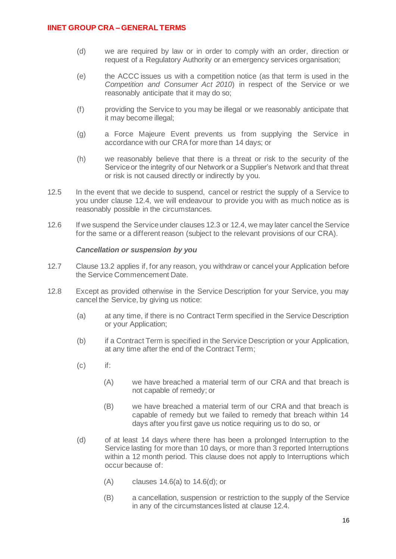- (d) we are required by law or in order to comply with an order, direction or request of a Regulatory Authority or an emergency services organisation;
- (e) the ACCC issues us with a competition notice (as that term is used in the *Competition and Consumer Act 2010*) in respect of the Service or we reasonably anticipate that it may do so;
- (f) providing the Service to you may be illegal or we reasonably anticipate that it may become illegal;
- (g) a Force Majeure Event prevents us from supplying the Service in accordance with our CRA for more than 14 days; or
- (h) we reasonably believe that there is a threat or risk to the security of the Service or the integrity of our Network or a Supplier's Network and that threat or risk is not caused directly or indirectly by you.
- 12.5 In the event that we decide to suspend, cancel or restrict the supply of a Service to you under clause [12.4,](#page-14-1) we will endeavour to provide you with as much notice as is reasonably possible in the circumstances.
- 12.6 If we suspend the Service under clause[s 12.3](#page-13-2) o[r 12.4,](#page-14-1) we may later cancel the Service for the same or a different reason (subject to the relevant provisions of our CRA).

### *Cancellation or suspension by you*

- 12.7 Claus[e 13.2](#page-16-1) applies if, for any reason, you withdraw or cancel your Application before the Service Commencement Date.
- <span id="page-15-1"></span><span id="page-15-0"></span>12.8 Except as provided otherwise in the Service Description for your Service, you may cancel the Service, by giving us notice:
	- (a) at any time, if there is no Contract Term specified in the Service Description or your Application;
	- (b) if a Contract Term is specified in the Service Description or your Application, at any time after the end of the Contract Term;
	- (c) if:
		- (A) we have breached a material term of our CRA and that breach is not capable of remedy; or
		- (B) we have breached a material term of our CRA and that breach is capable of remedy but we failed to remedy that breach within 14 days after you first gave us notice requiring us to do so, or
	- (d) of at least 14 days where there has been a prolonged Interruption to the Service lasting for more than 10 days, or more than 3 reported Interruptions within a 12 month period. This clause does not apply to Interruptions which occur because of:
		- (A) clauses [14.6\(a\)](#page-18-0) to [14.6\(d\);](#page-18-1) or
		- (B) a cancellation, suspension or restriction to the supply of the Service in any of the circumstances listed at claus[e 12.4.](#page-14-1)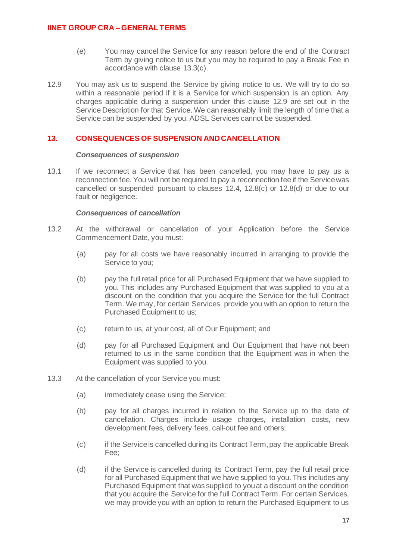- (e) You may cancel the Service for any reason before the end of the Contract Term by giving notice to us but you may be required to pay a Break Fee in accordance with clause [13.3\(c\).](#page-16-2)
- <span id="page-16-3"></span>12.9 You may ask us to suspend the Service by giving notice to us. We will try to do so within a reasonable period if it is a Service for which suspension is an option. Any charges applicable during a suspension under this clause [12.9](#page-16-3) are set out in the Service Description for that Service. We can reasonably limit the length of time that a Service can be suspended by you. ADSL Services cannot be suspended.

## <span id="page-16-0"></span>**13. CONSEQUENCES OF SUSPENSION AND CANCELLATION**

### *Consequences of suspension*

13.1 If we reconnect a Service that has been cancelled, you may have to pay us a reconnection fee. You will not be required to pay a reconnection fee if the Service was cancelled or suspended pursuant to clauses [12.4,](#page-14-1) [12.8\(c\)](#page-15-0) or [12.8\(d\)](#page-15-1) or due to our fault or negligence.

### *Consequences of cancellation*

- <span id="page-16-1"></span>13.2 At the withdrawal or cancellation of your Application before the Service Commencement Date, you must:
	- (a) pay for all costs we have reasonably incurred in arranging to provide the Service to you;
	- (b) pay the full retail price for all Purchased Equipment that we have supplied to you. This includes any Purchased Equipment that was supplied to you at a discount on the condition that you acquire the Service for the full Contract Term. We may, for certain Services, provide you with an option to return the Purchased Equipment to us;
	- (c) return to us, at your cost, all of Our Equipment; and
	- (d) pay for all Purchased Equipment and Our Equipment that have not been returned to us in the same condition that the Equipment was in when the Equipment was supplied to you.
- <span id="page-16-5"></span><span id="page-16-4"></span><span id="page-16-2"></span>13.3 At the cancellation of your Service you must:
	- (a) immediately cease using the Service;
	- (b) pay for all charges incurred in relation to the Service up to the date of cancellation. Charges include usage charges, installation costs, new development fees, delivery fees, call-out fee and others;
	- (c) if the Service is cancelled during its Contract Term, pay the applicable Break Fee;
	- (d) if the Service is cancelled during its Contract Term, pay the full retail price for all Purchased Equipment that we have supplied to you. This includes any Purchased Equipment that was supplied to you at a discount on the condition that you acquire the Service for the full Contract Term. For certain Services, we may provide you with an option to return the Purchased Equipment to us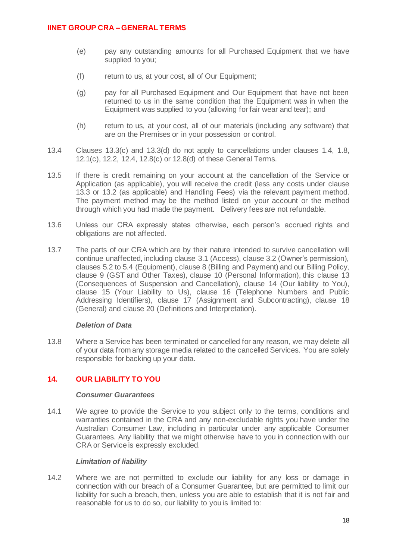- (e) pay any outstanding amounts for all Purchased Equipment that we have supplied to you;
- (f) return to us, at your cost, all of Our Equipment;
- (g) pay for all Purchased Equipment and Our Equipment that have not been returned to us in the same condition that the Equipment was in when the Equipment was supplied to you (allowing for fair wear and tear); and
- (h) return to us, at your cost, all of our materials (including any software) that are on the Premises or in your possession or control.
- 13.4 Clauses [13.3\(c\)](#page-16-2) and [13.3\(d\)](#page-16-4) do not apply to cancellations under clauses [1.4,](#page-1-5) [1.8,](#page-2-1) [12.1\(c\),](#page-13-3) [12.2,](#page-13-4) [12.4,](#page-14-1) [12.8\(c\)](#page-15-0) or [12.8\(d\)](#page-15-1) of these General Terms.
- 13.5 If there is credit remaining on your account at the cancellation of the Service or Application (as applicable), you will receive the credit (less any costs under clause [13.3](#page-16-5) or 13.2 (as applicable) and Handling Fees) via the relevant payment method. The payment method may be the method listed on your account or the method through which you had made the payment. Delivery fees are not refundable.
- 13.6 Unless our CRA expressly states otherwise, each person's accrued rights and obligations are not affected.
- 13.7 The parts of our CRA which are by their nature intended to survive cancellation will continue unaffected, including clause [3.1](#page-4-2) (Access), claus[e 3.2](#page-4-3) (Owner's permission), clause[s 5.2](#page-6-2) to [5.4](#page-7-0) (Equipment), claus[e 8](#page-10-0) (Billing and Payment) and our Billing Policy, clause [9](#page-10-1) (GST and Other Taxes), clause [10](#page-11-0) (Personal Information), this clause [13](#page-16-0) (Consequences of Suspension and Cancellation), clause [14](#page-17-0) (Our liability to You), clause [15](#page-19-0) (Your Liability to Us), clause [16](#page-20-0) (Telephone Numbers and Public Addressing Identifiers), clause [17](#page-20-1) (Assignment and Subcontracting), clause [18](#page-21-0) (General) and claus[e 20](#page-22-1) (Definitions and Interpretation).

## *Deletion of Data*

13.8 Where a Service has been terminated or cancelled for any reason, we may delete all of your data from any storage media related to the cancelled Services. You are solely responsible for backing up your data.

## <span id="page-17-0"></span>**14. OUR LIABILITY TO YOU**

### *Consumer Guarantees*

14.1 We agree to provide the Service to you subject only to the terms, conditions and warranties contained in the CRA and any non-excludable rights you have under the Australian Consumer Law, including in particular under any applicable Consumer Guarantees. Any liability that we might otherwise have to you in connection with our CRA or Service is expressly excluded.

## *Limitation of liability*

<span id="page-17-1"></span>14.2 Where we are not permitted to exclude our liability for any loss or damage in connection with our breach of a Consumer Guarantee, but are permitted to limit our liability for such a breach, then, unless you are able to establish that it is not fair and reasonable for us to do so, our liability to you is limited to: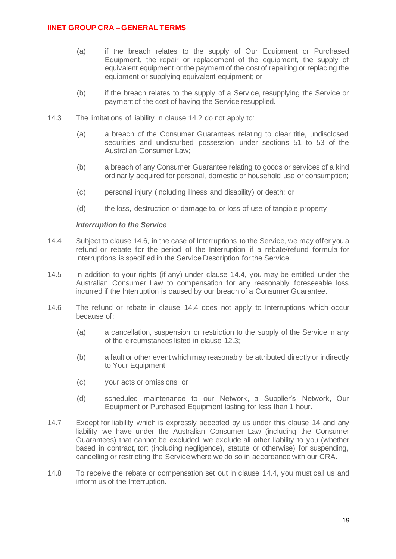- (a) if the breach relates to the supply of Our Equipment or Purchased Equipment, the repair or replacement of the equipment, the supply of equivalent equipment or the payment of the cost of repairing or replacing the equipment or supplying equivalent equipment; or
- (b) if the breach relates to the supply of a Service, resupplying the Service or payment of the cost of having the Service resupplied.
- 14.3 The limitations of liability in clause [14.2](#page-17-1) do not apply to:
	- (a) a breach of the Consumer Guarantees relating to clear title, undisclosed securities and undisturbed possession under sections 51 to 53 of the Australian Consumer Law;
	- (b) a breach of any Consumer Guarantee relating to goods or services of a kind ordinarily acquired for personal, domestic or household use or consumption;
	- (c) personal injury (including illness and disability) or death; or
	- (d) the loss, destruction or damage to, or loss of use of tangible property.

### <span id="page-18-4"></span><span id="page-18-3"></span>*Interruption to the Service*

- <span id="page-18-5"></span>14.4 Subject to clause [14.6,](#page-18-2) in the case of Interruptions to the Service, we may offer you a refund or rebate for the period of the Interruption if a rebate/refund formula for Interruptions is specified in the Service Description for the Service.
- 14.5 In addition to your rights (if any) under clause [14.4,](#page-18-3) you may be entitled under the Australian Consumer Law to compensation for any reasonably foreseeable loss incurred if the Interruption is caused by our breach of a Consumer Guarantee.
- <span id="page-18-2"></span><span id="page-18-0"></span>14.6 The refund or rebate in clause [14.4](#page-18-4) does not apply to Interruptions which occur because of:
	- (a) a cancellation, suspension or restriction to the supply of the Service in any of the circumstances listed in clause [12.3;](#page-13-2)
	- (b) a fault or other event which may reasonably be attributed directly or indirectly to Your Equipment;
	- (c) your acts or omissions; or
	- (d) scheduled maintenance to our Network, a Supplier's Network, Our Equipment or Purchased Equipment lasting for less than 1 hour.
- <span id="page-18-1"></span>14.7 Except for liability which is expressly accepted by us under this clause [14](#page-17-0) and any liability we have under the Australian Consumer Law (including the Consumer Guarantees) that cannot be excluded, we exclude all other liability to you (whether based in contract, tort (including negligence), statute or otherwise) for suspending, cancelling or restricting the Service where we do so in accordance with our CRA.
- 14.8 To receive the rebate or compensation set out in clause [14.4,](#page-18-5) you must call us and inform us of the Interruption.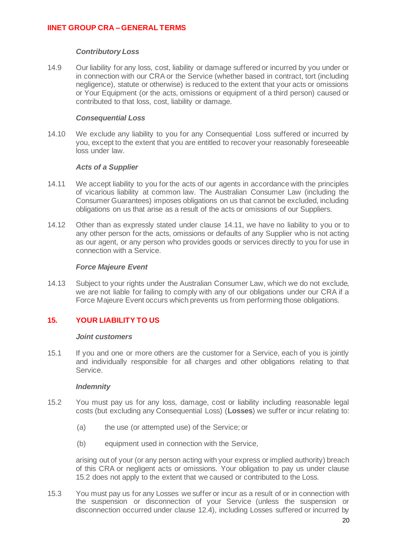### *Contributory Loss*

14.9 Our liability for any loss, cost, liability or damage suffered or incurred by you under or in connection with our CRA or the Service (whether based in contract, tort (including negligence), statute or otherwise) is reduced to the extent that your acts or omissions or Your Equipment (or the acts, omissions or equipment of a third person) caused or contributed to that loss, cost, liability or damage.

### *Consequential Loss*

14.10 We exclude any liability to you for any Consequential Loss suffered or incurred by you, except to the extent that you are entitled to recover your reasonably foreseeable loss under law.

### *Acts of a Supplier*

- <span id="page-19-1"></span>14.11 We accept liability to you for the acts of our agents in accordance with the principles of vicarious liability at common law. The Australian Consumer Law (including the Consumer Guarantees) imposes obligations on us that cannot be excluded, including obligations on us that arise as a result of the acts or omissions of our Suppliers.
- 14.12 Other than as expressly stated under clause [14.11,](#page-19-1) we have no liability to you or to any other person for the acts, omissions or defaults of any Supplier who is not acting as our agent, or any person who provides goods or services directly to you for use in connection with a Service.

### *Force Majeure Event*

14.13 Subject to your rights under the Australian Consumer Law, which we do not exclude, we are not liable for failing to comply with any of our obligations under our CRA if a Force Majeure Event occurs which prevents us from performing those obligations.

# <span id="page-19-0"></span>**15. YOUR LIABILITY TO US**

## *Joint customers*

15.1 If you and one or more others are the customer for a Service, each of you is jointly and individually responsible for all charges and other obligations relating to that Service.

### *Indemnity*

- 15.2 You must pay us for any loss, damage, cost or liability including reasonable legal costs (but excluding any Consequential Loss) (**Losses**) we suffer or incur relating to:
	- (a) the use (or attempted use) of the Service; or
	- (b) equipment used in connection with the Service,

arising out of your (or any person acting with your express or implied authority) breach of this CRA or negligent acts or omissions. Your obligation to pay us under clause 15.2 does not apply to the extent that we caused or contributed to the Loss.

15.3 You must pay us for any Losses we suffer or incur as a result of or in connection with the suspension or disconnection of your Service (unless the suspension or disconnection occurred under clause [12.4\)](#page-14-1), including Losses suffered or incurred by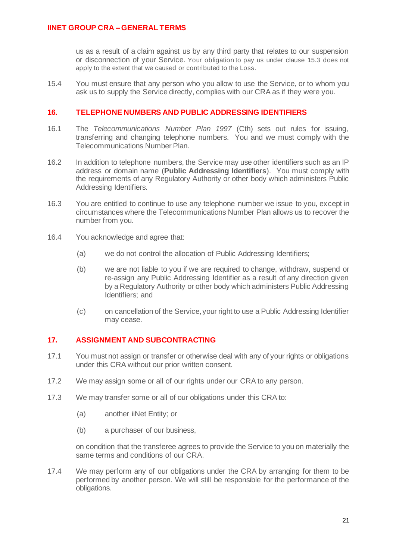us as a result of a claim against us by any third party that relates to our suspension or disconnection of your Service. Your obligation to pay us under clause 15.3 does not apply to the extent that we caused or contributed to the Loss.

15.4 You must ensure that any person who you allow to use the Service, or to whom you ask us to supply the Service directly, complies with our CRA as if they were you.

## <span id="page-20-0"></span>**16. TELEPHONE NUMBERS AND PUBLIC ADDRESSING IDENTIFIERS**

- 16.1 The *Telecommunications Number Plan 1997* (Cth) sets out rules for issuing, transferring and changing telephone numbers. You and we must comply with the Telecommunications Number Plan.
- 16.2 In addition to telephone numbers, the Service may use other identifiers such as an IP address or domain name (**Public Addressing Identifiers**). You must comply with the requirements of any Regulatory Authority or other body which administers Public Addressing Identifiers.
- 16.3 You are entitled to continue to use any telephone number we issue to you, except in circumstances where the Telecommunications Number Plan allows us to recover the number from you.
- 16.4 You acknowledge and agree that:
	- (a) we do not control the allocation of Public Addressing Identifiers;
	- (b) we are not liable to you if we are required to change, withdraw, suspend or re-assign any Public Addressing Identifier as a result of any direction given by a Regulatory Authority or other body which administers Public Addressing Identifiers; and
	- (c) on cancellation of the Service, your right to use a Public Addressing Identifier may cease.

## <span id="page-20-1"></span>**17. ASSIGNMENT AND SUBCONTRACTING**

- <span id="page-20-2"></span>17.1 You must not assign or transfer or otherwise deal with any of your rights or obligations under this CRA without our prior written consent.
- 17.2 We may assign some or all of our rights under our CRA to any person.
- 17.3 We may transfer some or all of our obligations under this CRA to:
	- (a) another iiNet Entity; or
	- (b) a purchaser of our business,

on condition that the transferee agrees to provide the Service to you on materially the same terms and conditions of our CRA.

17.4 We may perform any of our obligations under the CRA by arranging for them to be performed by another person. We will still be responsible for the performance of the obligations.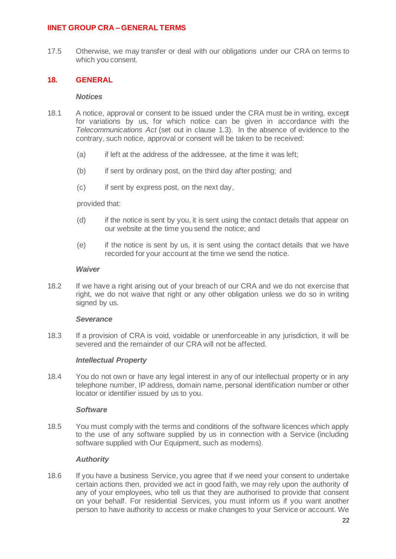17.5 Otherwise, we may transfer or deal with our obligations under our CRA on terms to which you consent.

## <span id="page-21-0"></span>**18. GENERAL**

### *Notices*

- 18.1 A notice, approval or consent to be issued under the CRA must be in writing, except for variations by us, for which notice can be given in accordance with the *Telecommunications Act* (set out in clause [1.3\)](#page-1-4). In the absence of evidence to the contrary, such notice, approval or consent will be taken to be received:
	- (a) if left at the address of the addressee, at the time it was left;
	- (b) if sent by ordinary post, on the third day after posting; and
	- (c) if sent by express post, on the next day,

provided that:

- (d) if the notice is sent by you, it is sent using the contact details that appear on our website at the time you send the notice; and
- (e) if the notice is sent by us, it is sent using the contact details that we have recorded for your account at the time we send the notice.

### *Waiver*

18.2 If we have a right arising out of your breach of our CRA and we do not exercise that right, we do not waive that right or any other obligation unless we do so in writing signed by us.

### *Severance*

18.3 If a provision of CRA is void, voidable or unenforceable in any jurisdiction, it will be severed and the remainder of our CRA will not be affected.

## *Intellectual Property*

18.4 You do not own or have any legal interest in any of our intellectual property or in any telephone number, IP address, domain name, personal identification number or other locator or identifier issued by us to you.

### *Software*

18.5 You must comply with the terms and conditions of the software licences which apply to the use of any software supplied by us in connection with a Service (including software supplied with Our Equipment, such as modems).

## *Authority*

18.6 If you have a business Service, you agree that if we need your consent to undertake certain actions then, provided we act in good faith, we may rely upon the authority of any of your employees, who tell us that they are authorised to provide that consent on your behalf. For residential Services, you must inform us if you want another person to have authority to access or make changes to your Service or account. We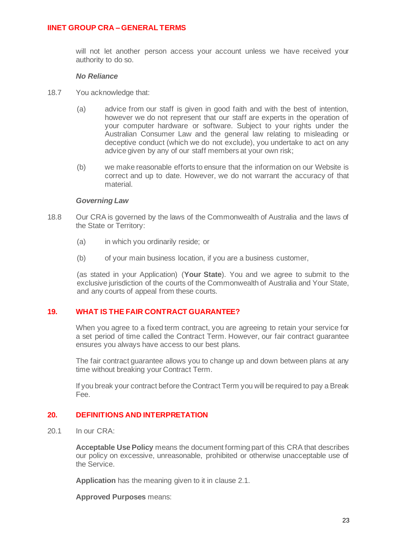will not let another person access your account unless we have received your authority to do so.

### *No Reliance*

- 18.7 You acknowledge that:
	- (a) advice from our staff is given in good faith and with the best of intention, however we do not represent that our staff are experts in the operation of your computer hardware or software. Subject to your rights under the Australian Consumer Law and the general law relating to misleading or deceptive conduct (which we do not exclude), you undertake to act on any advice given by any of our staff members at your own risk;
	- (b) we make reasonable efforts to ensure that the information on our Website is correct and up to date. However, we do not warrant the accuracy of that material.

### *Governing Law*

- 18.8 Our CRA is governed by the laws of the Commonwealth of Australia and the laws of the State or Territory:
	- (a) in which you ordinarily reside; or
	- (b) of your main business location, if you are a business customer,

(as stated in your Application) (**Your State**). You and we agree to submit to the exclusive jurisdiction of the courts of the Commonwealth of Australia and Your State, and any courts of appeal from these courts.

## <span id="page-22-0"></span>**19. WHAT IS THE FAIR CONTRACT GUARANTEE?**

When you agree to a fixed term contract, you are agreeing to retain your service for a set period of time called the Contract Term. However, our fair contract guarantee ensures you always have access to our best plans.

The fair contract guarantee allows you to change up and down between plans at any time without breaking your Contract Term.

If you break your contract before the Contract Term you will be required to pay a Break Fee.

# <span id="page-22-1"></span>**20. DEFINITIONS AND INTERPRETATION**

<span id="page-22-2"></span>20.1 In our CRA:

**Acceptable Use Policy** means the document forming part of this CRA that describes our policy on excessive, unreasonable, prohibited or otherwise unacceptable use of the Service.

**Application** has the meaning given to it in claus[e 2.1.](#page-3-3)

**Approved Purposes** means: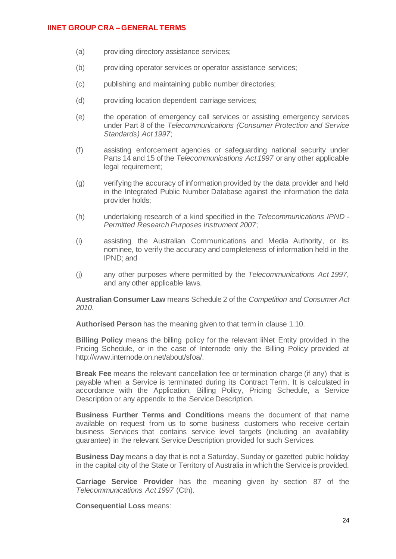- (a) providing directory assistance services;
- (b) providing operator services or operator assistance services;
- (c) publishing and maintaining public number directories;
- (d) providing location dependent carriage services;
- (e) the operation of emergency call services or assisting emergency services under Part 8 of the *Telecommunications (Consumer Protection and Service Standards) Act 1997*;
- (f) assisting enforcement agencies or safeguarding national security under Parts 14 and 15 of the *Telecommunications Act 1997* or any other applicable legal requirement;
- (g) verifying the accuracy of information provided by the data provider and held in the Integrated Public Number Database against the information the data provider holds;
- (h) undertaking research of a kind specified in the *Telecommunications IPND - Permitted Research Purposes Instrument 2007*;
- (i) assisting the Australian Communications and Media Authority, or its nominee, to verify the accuracy and completeness of information held in the IPND; and
- (j) any other purposes where permitted by the *Telecommunications Act 1997*, and any other applicable laws.

**Australian Consumer Law** means Schedule 2 of the *Competition and Consumer Act 2010*.

**Authorised Person** has the meaning given to that term in clause [1.10.](#page-3-4)

**Billing Policy** means the billing policy for the relevant iiNet Entity provided in the Pricing Schedule, or in the case of Internode only the Billing Policy provided at http://www.internode.on.net/about/sfoa/.

**Break Fee** means the relevant cancellation fee or termination charge (if any) that is payable when a Service is terminated during its Contract Term. It is calculated in accordance with the Application, Billing Policy, Pricing Schedule, a Service Description or any appendix to the Service Description.

**Business Further Terms and Conditions** means the document of that name available on request from us to some business customers who receive certain business Services that contains service level targets (including an availability guarantee) in the relevant Service Description provided for such Services.

**Business Day** means a day that is not a Saturday, Sunday or gazetted public holiday in the capital city of the State or Territory of Australia in which the Service is provided.

**Carriage Service Provider** has the meaning given by section 87 of the *Telecommunications Act 1997* (Cth).

**Consequential Loss** means: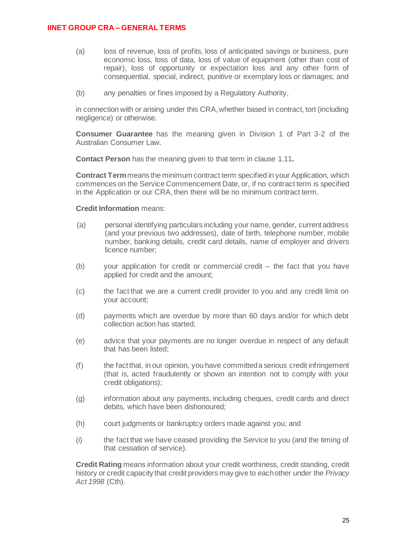- (a) loss of revenue, loss of profits, loss of anticipated savings or business, pure economic loss, loss of data, loss of value of equipment (other than cost of repair), loss of opportunity or expectation loss and any other form of consequential, special, indirect, punitive or exemplary loss or damages; and
- (b) any penalties or fines imposed by a Regulatory Authority,

in connection with or arising under this CRA, whether based in contract, tort (including negligence) or otherwise.

**Consumer Guarantee** has the meaning given in Division 1 of Part 3-2 of the Australian Consumer Law.

**Contact Person** has the meaning given to that term in clause [1.11](#page-3-5)**.**

**Contract Term**means the minimum contract term specified in your Application, which commences on the Service Commencement Date, or, if no contract term is specified in the Application or our CRA, then there will be no minimum contract term.

## **Credit Information** means:

- (a) personal identifying particulars including your name, gender, current address (and your previous two addresses), date of birth, telephone number, mobile number, banking details, credit card details, name of employer and drivers licence number;
- (b) your application for credit or commercial credit the fact that you have applied for credit and the amount;
- (c) the fact that we are a current credit provider to you and any credit limit on your account;
- (d) payments which are overdue by more than 60 days and/or for which debt collection action has started;
- (e) advice that your payments are no longer overdue in respect of any default that has been listed;
- (f) the fact that, in our opinion, you have committed a serious credit infringement (that is, acted fraudulently or shown an intention not to comply with your credit obligations);
- (g) information about any payments, including cheques, credit cards and direct debits, which have been dishonoured;
- (h) court judgments or bankruptcy orders made against you; and
- (i) the fact that we have ceased providing the Service to you (and the timing of that cessation of service).

**Credit Rating** means information about your credit worthiness, credit standing, credit history or credit capacity that credit providers may give to each other under the *Privacy Act 1998* (Cth).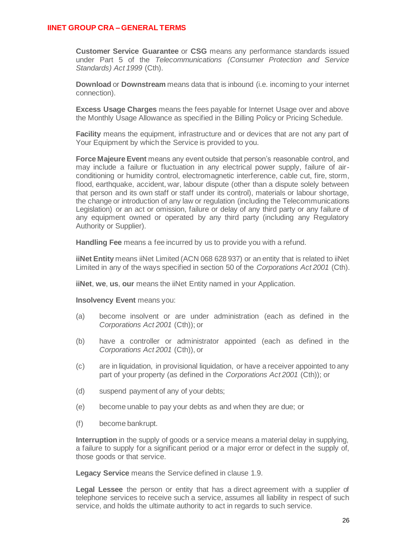**Customer Service Guarantee** or **CSG** means any performance standards issued under Part 5 of the *Telecommunications (Consumer Protection and Service Standards) Act 1999* (Cth).

**Download** or **Downstream** means data that is inbound (i.e. incoming to your internet connection).

**Excess Usage Charges** means the fees payable for Internet Usage over and above the Monthly Usage Allowance as specified in the Billing Policy or Pricing Schedule.

**Facility** means the equipment, infrastructure and or devices that are not any part of Your Equipment by which the Service is provided to you.

**Force Majeure Event** means any event outside that person's reasonable control, and may include a failure or fluctuation in any electrical power supply, failure of airconditioning or humidity control, electromagnetic interference, cable cut, fire, storm, flood, earthquake, accident, war, labour dispute (other than a dispute solely between that person and its own staff or staff under its control), materials or labour shortage, the change or introduction of any law or regulation (including the Telecommunications Legislation) or an act or omission, failure or delay of any third party or any failure of any equipment owned or operated by any third party (including any Regulatory Authority or Supplier).

**Handling Fee** means a fee incurred by us to provide you with a refund.

**iiNet Entity** means iiNet Limited (ACN 068 628 937) or an entity that is related to iiNet Limited in any of the ways specified in section 50 of the *Corporations Act 2001* (Cth).

**iiNet**, **we**, **us**, **our** means the iiNet Entity named in your Application.

**Insolvency Event** means you:

- (a) become insolvent or are under administration (each as defined in the *Corporations Act 2001* (Cth)); or
- (b) have a controller or administrator appointed (each as defined in the *Corporations Act 2001* (Cth)), or
- (c) are in liquidation, in provisional liquidation, or have a receiver appointed to any part of your property (as defined in the *Corporations Act 2001* (Cth)); or
- (d) suspend payment of any of your debts;
- (e) become unable to pay your debts as and when they are due; or
- (f) become bankrupt.

**Interruption** in the supply of goods or a service means a material delay in supplying. a failure to supply for a significant period or a major error or defect in the supply of, those goods or that service.

**Legacy Service** means the Service defined in clause 1.9.

**Legal Lessee** the person or entity that has a direct agreement with a supplier of telephone services to receive such a service, assumes all liability in respect of such service, and holds the ultimate authority to act in regards to such service.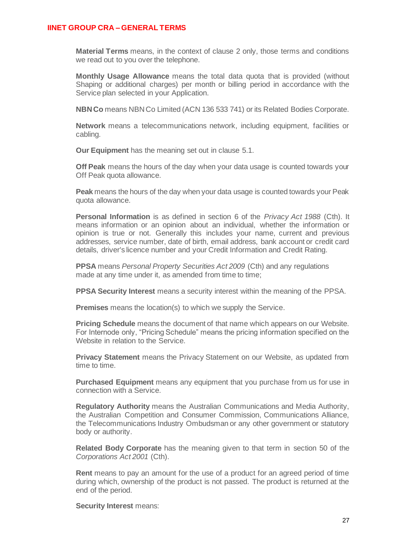**Material Terms** means, in the context of clause [2](#page-3-0) only, those terms and conditions we read out to you over the telephone.

**Monthly Usage Allowance** means the total data quota that is provided (without Shaping or additional charges) per month or billing period in accordance with the Service plan selected in your Application.

**NBN Co** means NBN Co Limited (ACN 136 533 741) or its Related Bodies Corporate.

**Network** means a telecommunications network, including equipment, facilities or cabling.

**Our Equipment** has the meaning set out in clause [5.1.](#page-6-3)

**Off Peak** means the hours of the day when your data usage is counted towards your Off Peak quota allowance.

**Peak** means the hours of the day when your data usage is counted towards your Peak quota allowance.

**Personal Information** is as defined in section 6 of the *Privacy Act 1988* (Cth). It means information or an opinion about an individual, whether the information or opinion is true or not. Generally this includes your name, current and previous addresses, service number, date of birth, email address, bank account or credit card details, driver's licence number and your Credit Information and Credit Rating.

**PPSA** means *Personal Property Securities Act 2009* (Cth) and any regulations made at any time under it, as amended from time to time;

**PPSA Security Interest** means a security interest within the meaning of the PPSA.

**Premises** means the location(s) to which we supply the Service.

**Pricing Schedule** means the document of that name which appears on our Website. For Internode only, "Pricing Schedule" means the pricing information specified on the Website in relation to the Service.

**Privacy Statement** means the Privacy Statement on our Website, as updated from time to time.

**Purchased Equipment** means any equipment that you purchase from us for use in connection with a Service.

**Regulatory Authority** means the Australian Communications and Media Authority, the Australian Competition and Consumer Commission, Communications Alliance, the Telecommunications Industry Ombudsman or any other government or statutory body or authority.

**Related Body Corporate** has the meaning given to that term in section 50 of the *Corporations Act 2001* (Cth).

**Rent** means to pay an amount for the use of a product for an agreed period of time during which, ownership of the product is not passed. The product is returned at the end of the period.

**Security Interest** means: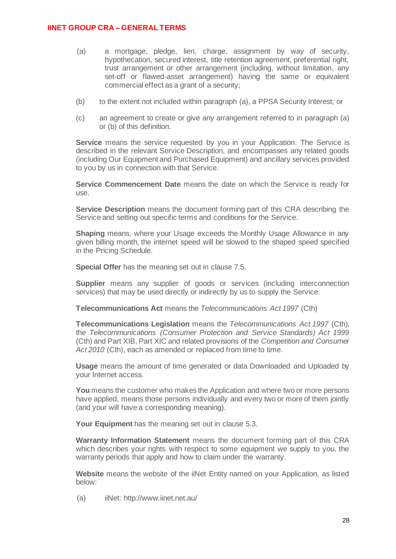- (a) a mortgage, pledge, lien, charge, assignment by way of security, hypothecation, secured interest, title retention agreement, preferential right, trust arrangement or other arrangement (including, without limitation, any set-off or flawed-asset arrangement) having the same or equivalent commercial effect as a grant of a security;
- (b) to the extent not included within paragraph (a), a PPSA Security Interest; or
- (c) an agreement to create or give any arrangement referred to in paragraph (a) or (b) of this definition.

**Service** means the service requested by you in your Application. The Service is described in the relevant Service Description, and encompasses any related goods (including Our Equipment and Purchased Equipment) and ancillary services provided to you by us in connection with that Service.

**Service Commencement Date** means the date on which the Service is ready for use.

**Service Description** means the document forming part of this CRA describing the Service and setting out specific terms and conditions for the Service.

**Shaping** means, where your Usage exceeds the Monthly Usage Allowance in any given billing month, the internet speed will be slowed to the shaped speed specified in the Pricing Schedule.

**Special Offer** has the meaning set out in claus[e 7.5.](#page-10-2)

**Supplier** means any supplier of goods or services (including interconnection services) that may be used directly or indirectly by us to supply the Service.

**Telecommunications Act** means the *Telecommunications Act 1997* (Cth)

**Telecommunications Legislation** means the *Telecommunications Act 1997* (Cth), the *Telecommunications (Consumer Protection and Service Standards) Act 1999* (Cth) and Part XIB, Part XIC and related provisions of the *Competition and Consumer*  Act 2010 (Cth), each as amended or replaced from time to time.

**Usage** means the amount of time generated or data Downloaded and Uploaded by your Internet access.

**You** means the customer who makes the Application and where two or more persons have applied, means those persons individually and every two or more of them jointly (and your will have a corresponding meaning).

**Your Equipment** has the meaning set out in claus[e 5.3.](#page-7-1)

**Warranty Information Statement** means the document forming part of this CRA which describes your rights with respect to some equipment we supply to you, the warranty periods that apply and how to claim under the warranty.

**Website** means the website of the iiNet Entity named on your Application, as listed below:

(a) iiNet: http://www.iinet.net.au/